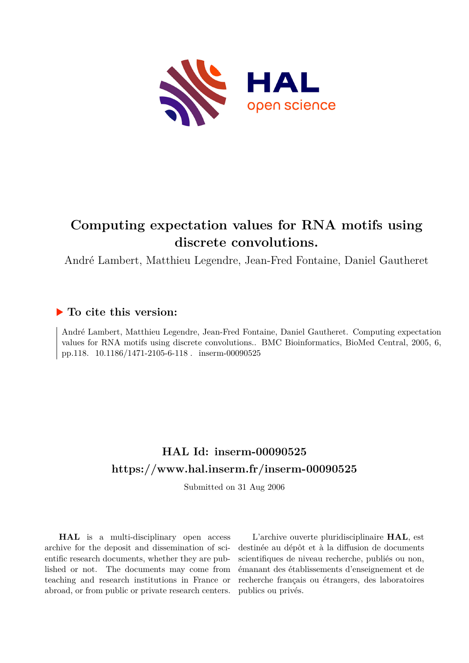

# **Computing expectation values for RNA motifs using discrete convolutions.**

André Lambert, Matthieu Legendre, Jean-Fred Fontaine, Daniel Gautheret

## **To cite this version:**

André Lambert, Matthieu Legendre, Jean-Fred Fontaine, Daniel Gautheret. Computing expectation values for RNA motifs using discrete convolutions.. BMC Bioinformatics, BioMed Central, 2005, 6, pp.118. 10.1186/1471-2105-6-118. inserm-00090525

# **HAL Id: inserm-00090525 <https://www.hal.inserm.fr/inserm-00090525>**

Submitted on 31 Aug 2006

**HAL** is a multi-disciplinary open access archive for the deposit and dissemination of scientific research documents, whether they are published or not. The documents may come from teaching and research institutions in France or abroad, or from public or private research centers.

L'archive ouverte pluridisciplinaire **HAL**, est destinée au dépôt et à la diffusion de documents scientifiques de niveau recherche, publiés ou non, émanant des établissements d'enseignement et de recherche français ou étrangers, des laboratoires publics ou privés.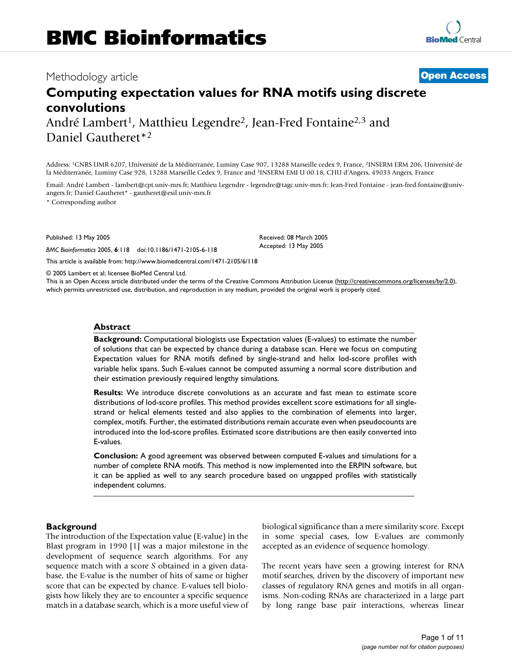### Methodology article **Contract Contract Contract Contract Contract Contract Contract Contract Contract Contract Contract Contract Contract Contract Contract Contract Contract Contract Contract Contract Contract Contract Con**

# **Computing expectation values for RNA motifs using discrete convolutions**

André Lambert<sup>1</sup>, Matthieu Legendre<sup>2</sup>, Jean-Fred Fontaine<sup>2,3</sup> and Daniel Gautheret\*<sup>2</sup>

Address: <sup>1</sup>CNRS UMR 6207, Université de la Méditerranée, Luminy Case 907, 13288 Marseille cedex 9, France, <sup>2</sup>INSERM ERM 206, Université de la Méditerranée, Luminy Case 928, 13288 Marseille Cedex 9, France and <sup>3</sup>INSERM EMI U 00.18, CHU d'Angers, 49033 Angers, France

Email: André Lambert - lambert@cpt.univ-mrs.fr; Matthieu Legendre - legendre@tagc.univ-mrs.fr; Jean-Fred Fontaine - jean-fred.fontaine@univangers.fr; Daniel Gautheret\* - gautheret@esil.univ-mrs.fr

\* Corresponding author

Published: 13 May 2005

*BMC Bioinformatics* 2005, **6**:118 doi:10.1186/1471-2105-6-118

[This article is available from: http://www.biomedcentral.com/1471-2105/6/118](http://www.biomedcentral.com/1471-2105/6/118)

© 2005 Lambert et al; licensee BioMed Central Ltd.

This is an Open Access article distributed under the terms of the Creative Commons Attribution License [\(http://creativecommons.org/licenses/by/2.0\)](http://creativecommons.org/licenses/by/2.0), which permits unrestricted use, distribution, and reproduction in any medium, provided the original work is properly cited.

#### **Abstract**

**Background:** Computational biologists use Expectation values (E-values) to estimate the number of solutions that can be expected by chance during a database scan. Here we focus on computing Expectation values for RNA motifs defined by single-strand and helix lod-score profiles with variable helix spans. Such E-values cannot be computed assuming a normal score distribution and their estimation previously required lengthy simulations.

**Results:** We introduce discrete convolutions as an accurate and fast mean to estimate score distributions of lod-score profiles. This method provides excellent score estimations for all singlestrand or helical elements tested and also applies to the combination of elements into larger, complex, motifs. Further, the estimated distributions remain accurate even when pseudocounts are introduced into the lod-score profiles. Estimated score distributions are then easily converted into E-values.

**Conclusion:** A good agreement was observed between computed E-values and simulations for a number of complete RNA motifs. This method is now implemented into the ERPIN software, but it can be applied as well to any search procedure based on ungapped profiles with statistically independent columns.

#### **Background**

The introduction of the Expectation value (E-value) in the Blast program in 1990 [1] was a major milestone in the development of sequence search algorithms. For any sequence match with a score *S* obtained in a given database, the E-value is the number of hits of same or higher score that can be expected by chance. E-values tell biologists how likely they are to encounter a specific sequence match in a database search, which is a more useful view of biological significance than a mere similarity score. Except in some special cases, low E-values are commonly accepted as an evidence of sequence homology.

The recent years have seen a growing interest for RNA motif searches, driven by the discovery of important new classes of regulatory RNA genes and motifs in all organisms. Non-coding RNAs are characterized in a large part by long range base pair interactions, whereas linear

Received: 08 March 2005 Accepted: 13 May 2005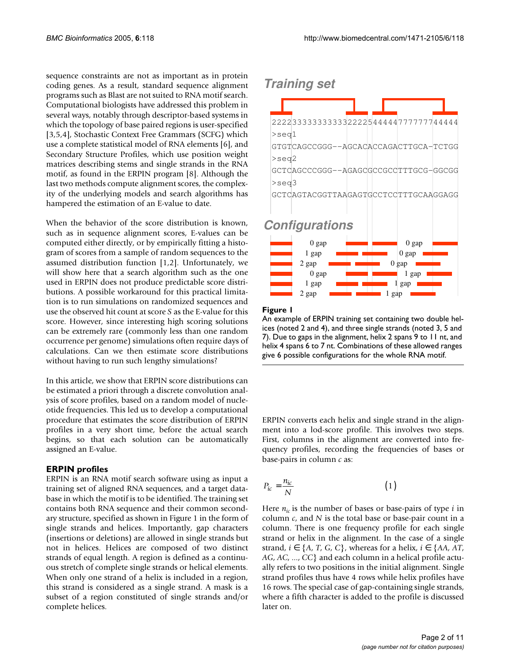sequence constraints are not as important as in protein coding genes. As a result, standard sequence alignment programs such as Blast are not suited to RNA motif search. Computational biologists have addressed this problem in several ways, notably through descriptor-based systems in which the topology of base paired regions is user-specified [3,5,4], Stochastic Context Free Grammars (SCFG) which use a complete statistical model of RNA elements [6], and Secondary Structure Profiles, which use position weight matrices describing stems and single strands in the RNA motif, as found in the ERPIN program [8]. Although the last two methods compute alignment scores, the complexity of the underlying models and search algorithms has hampered the estimation of an E-value to date.

When the behavior of the score distribution is known, such as in sequence alignment scores, E-values can be computed either directly, or by empirically fitting a histogram of scores from a sample of random sequences to the assumed distribution function [1,2]. Unfortunately, we will show here that a search algorithm such as the one used in ERPIN does not produce predictable score distributions. A possible workaround for this practical limitation is to run simulations on randomized sequences and use the observed hit count at score *S* as the E-value for this score. However, since interesting high scoring solutions can be extremely rare (commonly less than one random occurrence per genome) simulations often require days of calculations. Can we then estimate score distributions without having to run such lengthy simulations?

In this article, we show that ERPIN score distributions can be estimated a priori through a discrete convolution analysis of score profiles, based on a random model of nucleotide frequencies. This led us to develop a computational procedure that estimates the score distribution of ERPIN profiles in a very short time, before the actual search begins, so that each solution can be automatically assigned an E-value.

### **ERPIN profiles**

ERPIN is an RNA motif search software using as input a training set of aligned RNA sequences, and a target database in which the motif is to be identified. The training set contains both RNA sequence and their common secondary structure, specified as shown in Figure 1 in the form of single strands and helices. Importantly, gap characters (insertions or deletions) are allowed in single strands but not in helices. Helices are composed of two distinct strands of equal length. A region is defined as a continuous stretch of complete single strands or helical elements. When only one strand of a helix is included in a region, this strand is considered as a single strand. A mask is a subset of a region constituted of single strands and/or complete helices.



#### Figure 1

An example of ERPIN training set containing two double helices (noted 2 and 4), and three single strands (noted 3, 5 and 7). Due to gaps in the alignment, helix 2 spans 9 to 11 nt, and helix 4 spans 6 to 7 nt. Combinations of these allowed ranges give 6 possible configurations for the whole RNA motif.

ERPIN converts each helix and single strand in the alignment into a lod-score profile. This involves two steps. First, columns in the alignment are converted into frequency profiles, recording the frequencies of bases or base-pairs in column *c* as:

$$
P_{ic} = \frac{n_{ic}}{N} \tag{1}
$$

Here  $n_i$  is the number of bases or base-pairs of type *i* in column *c*, and *N* is the total base or base-pair count in a column. There is one frequency profile for each single strand or helix in the alignment. In the case of a single strand,  $i \in \{A, T, G, C\}$ , whereas for a helix,  $i \in \{AA, AT, C\}$ *AG*, *AC*, ..., *CC*} and each column in a helical profile actually refers to two positions in the initial alignment. Single strand profiles thus have 4 rows while helix profiles have 16 rows. The special case of gap-containing single strands, where a fifth character is added to the profile is discussed later on.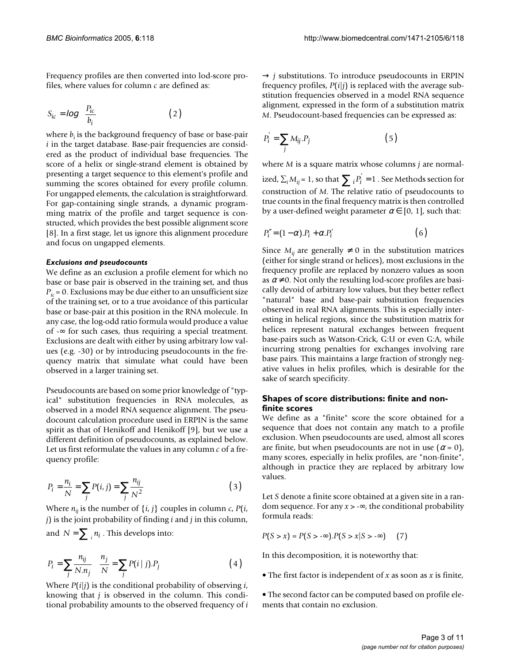Frequency profiles are then converted into lod-score profiles, where values for column *c* are defined as:

$$
S_{ic} = \log\left(\frac{P_{ic}}{b_i}\right) \tag{2}
$$

where  $b_i$  is the background frequency of base or base-pair *i* in the target database. Base-pair frequencies are considered as the product of individual base frequencies. The score of a helix or single-strand element is obtained by presenting a target sequence to this element's profile and summing the scores obtained for every profile column. For ungapped elements, the calculation is straightforward. For gap-containing single strands, a dynamic programming matrix of the profile and target sequence is constructed, which provides the best possible alignment score [8]. In a first stage, let us ignore this alignment procedure and focus on ungapped elements.

#### *Exclusions and pseudocounts*

We define as an exclusion a profile element for which no base or base pair is observed in the training set, and thus  $P_{ic}$  = 0. Exclusions may be due either to an unsufficient size of the training set, or to a true avoidance of this particular base or base-pair at this position in the RNA molecule. In any case, the log-odd ratio formula would produce a value of -∞ for such cases, thus requiring a special treatment. Exclusions are dealt with either by using arbitrary low values (e.g. -30) or by introducing pseudocounts in the frequency matrix that simulate what could have been observed in a larger training set.

Pseudocounts are based on some prior knowledge of "typical" substitution frequencies in RNA molecules, as observed in a model RNA sequence alignment. The pseudocount calculation procedure used in ERPIN is the same spirit as that of Henikoff and Henikoff [9], but we use a different definition of pseudocounts, as explained below. Let us first reformulate the values in any column *c* of a frequency profile:

$$
P_i = \frac{n_i}{N} = \sum_j P(i, j) = \sum_j \frac{n_{ij}}{N^2}
$$
 (3)

Where  $n_{ii}$  is the number of  $\{i, j\}$  couples in column *c*,  $P(i, j)$ *j*) is the joint probability of finding *i* and *j* in this column, and  $N = \sum_i n_i$ . This develops into:

$$
P_i = \sum_j \frac{n_{ij}}{N.n_j} \quad \frac{n_j}{N} = \sum_j P(i \mid j).P_j \tag{4}
$$

Where *P*(*i*|*j*) is the conditional probability of observing *i*, knowing that *j* is observed in the column. This conditional probability amounts to the observed frequency of *i*  $\rightarrow$  *j* substitutions. To introduce pseudocounts in ERPIN frequency profiles, *P*(*i*|*j*) is replaced with the average substitution frequencies observed in a model RNA sequence alignment, expressed in the form of a substitution matrix *M*. Pseudocount-based frequencies can be expressed as:

$$
P_i^{'} = \sum_j M_{ij} P_j \tag{5}
$$

where *M* is a square matrix whose columns *j* are normalized,  $\sum_i M_{ij}$  = 1, so that  $\sum_i P_i^{'} = 1$  . See Methods section for construction of *M*. The relative ratio of pseudocounts to true counts in the final frequency matrix is then controlled by a user-defined weight parameter  $\alpha \in [0, 1]$ , such that:

$$
P''_i = (1 - \alpha).P_i + \alpha.P'_i \tag{6}
$$

Since  $M_{ij}$  are generally  $\neq 0$  in the substitution matrices (either for single strand or helices), most exclusions in the frequency profile are replaced by nonzero values as soon as  $\alpha \neq 0$ . Not only the resulting lod-score profiles are basically devoid of arbitrary low values, but they better reflect "natural" base and base-pair substitution frequencies observed in real RNA alignments. This is especially interesting in helical regions, since the substitution matrix for helices represent natural exchanges between frequent base-pairs such as Watson-Crick, G:U or even G:A, while incurring strong penalties for exchanges involving rare base pairs. This maintains a large fraction of strongly negative values in helix profiles, which is desirable for the sake of search specificity.

#### **Shapes of score distributions: finite and nonfinite scores**

We define as a "finite" score the score obtained for a sequence that does not contain any match to a profile exclusion. When pseudocounts are used, almost all scores are finite, but when pseudocounts are not in use  $(\alpha = 0)$ , many scores, especially in helix profiles, are "non-finite", although in practice they are replaced by arbitrary low values.

Let *S* denote a finite score obtained at a given site in a random sequence. For any  $x > \infty$ , the conditional probability formula reads:

 $P(S > x) = P(S > -\infty) \cdot P(S > x | S > -\infty)$  (7)

In this decomposition, it is noteworthy that:

- The first factor is independent of *x* as soon as *x* is finite,
- The second factor can be computed based on profile elements that contain no exclusion.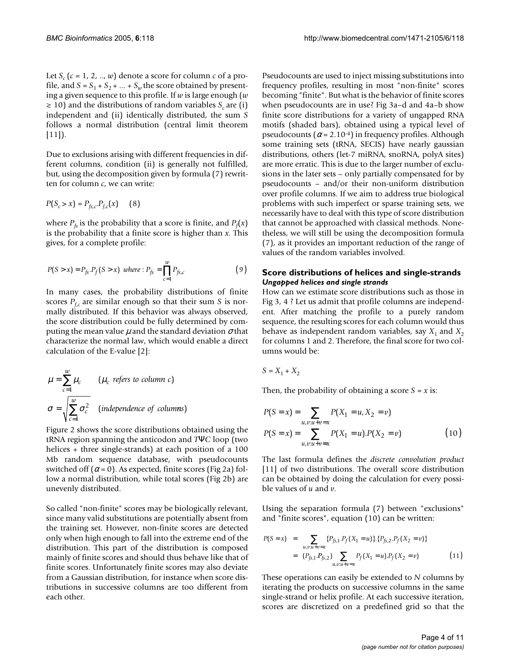Let  $S_c$  ( $c = 1, 2, ..., w$ ) denote a score for column  $c$  of a profile, and  $S = S_1 + S_2 + ... + S_w$  the score obtained by presenting a given sequence to this profile. If *w* is large enough (*w*  $\approx 10$ ) and the distributions of random variables *S<sub>c</sub>* are (i) independent and (ii) identically distributed, the sum *S* follows a normal distribution (central limit theorem  $[11]$ ).

Due to exclusions arising with different frequencies in different columns, condition (ii) is generally not fulfilled, but, using the decomposition given by formula (7) rewritten for column *c*, we can write:

$$
P(S_c > x) = P_{f s, c} P_{f, c}(x)
$$
 (8)

where  $P_f$  is the probability that a score is finite, and  $P_f(x)$ is the probability that a finite score is higher than *x*. This gives, for a complete profile:

$$
P(S > x) = P_{fs}.P_f(S > x) \text{ where : } P_{fs} = \prod_{c=1}^{w} P_{fs,c}
$$
 (9)

In many cases, the probability distributions of finite scores  $P_{f,c}$  are similar enough so that their sum *S* is normally distributed. If this behavior was always observed, the score distribution could be fully determined by computing the mean value  $\mu$  and the standard deviation  $\sigma$  that characterize the normal law, which would enable a direct calculation of the E-value [2]:

$$
\mu = \sum_{c=1}^{w} \mu_c \qquad (\mu_c \text{ refers to column } c)
$$

$$
\sigma = \sqrt{\sum_{c=1}^{w} \sigma_c^2} \quad (\text{independence of columns})
$$

Figure [2](#page-5-0) shows the score distributions obtained using the tRNA region spanning the anticodon and *T*Ψ*C* loop (two helices + three single-strands) at each position of a 100 Mb random sequence database, with pseudocounts switched off  $(\alpha = 0)$ . As expected, finite scores (Fig [2a](#page-5-0)) follow a normal distribution, while total scores (Fig [2](#page-5-0)b) are unevenly distributed.

So called "non-finite" scores may be biologically relevant, since many valid substitutions are potentially absent from the training set. However, non-finite scores are detected only when high enough to fall into the extreme end of the distribution. This part of the distribution is composed mainly of finite scores and should thus behave like that of finite scores. Unfortunately finite scores may also deviate from a Gaussian distribution, for instance when score distributions in successive columns are too different from each other.

Pseudocounts are used to inject missing substitutions into frequency profiles, resulting in most "non-finite" scores becoming "finite". But what is the behavior of finite scores when pseudocounts are in use? Fig [3a](#page-6-0)–d and [4](#page-7-0)a–b show finite score distributions for a variety of ungapped RNA motifs (shaded bars), obtained using a typical level of pseudocounts ( $\alpha$  = 2.10<sup>-4</sup>) in frequency profiles. Although some training sets (tRNA, SECIS) have nearly gaussian distributions, others (let-7 miRNA, snoRNA, polyA sites) are more erratic. This is due to the larger number of exclusions in the later sets – only partially compensated for by pseudocounts – and/or their non-uniform distribution over profile columns. If we aim to address true biological problems with such imperfect or sparse training sets, we necessarily have to deal with this type of score distribution that cannot be approached with classical methods. Nonetheless, we will still be using the decomposition formula (7), as it provides an important reduction of the range of values of the random variables involved.

#### **Score distributions of helices and single-strands** *Ungapped helices and single strands*

How can we estimate score distributions such as those in Fig [3](#page-6-0), [4](#page-7-0) ? Let us admit that profile columns are independent. After matching the profile to a purely random sequence, the resulting scores for each column would thus behave as independent random variables, say  $X_1$  and  $X_2$ for columns 1 and 2. Therefore, the final score for two columns would be:

$$
S = X_1 + X_2
$$

Then, the probability of obtaining a score  $S = x$  is:

(independence of columns)  
\n
$$
P(S = x) = \sum_{u,v:u+v=x} P(X_1 = u, X_2 = v)
$$
\nthe score distributions obtained using the  
\n
$$
P(S = x) = \sum_{u,v:u+v=x} P(X_1 = u, X_2 = v)
$$
\n
$$
P(X_2 = v)
$$
\n(10)

The last formula defines the *discrete convolution product* [11] of two distributions. The overall score distribution can be obtained by doing the calculation for every possible values of *u* and *v*.

Using the separation formula (7) between "exclusions" and "finite scores", equation (10) can be written:

$$
P(S = x) = \sum_{u,v:u+v=x} \{P_{f5,1}.P_f(X_1 = u)\} \{P_{f5,2}.P_f(X_2 = v)\}
$$
  
=  $(P_{f5,1}.P_{f5,2}) \sum_{u,v:u+v=x} P_f(X_1 = u).P_f(X_2 = v)$  (11)

These operations can easily be extended to *N* columns by iterating the products on successive columns in the same single-strand or helix profile. At each successive iteration, scores are discretized on a predefined grid so that the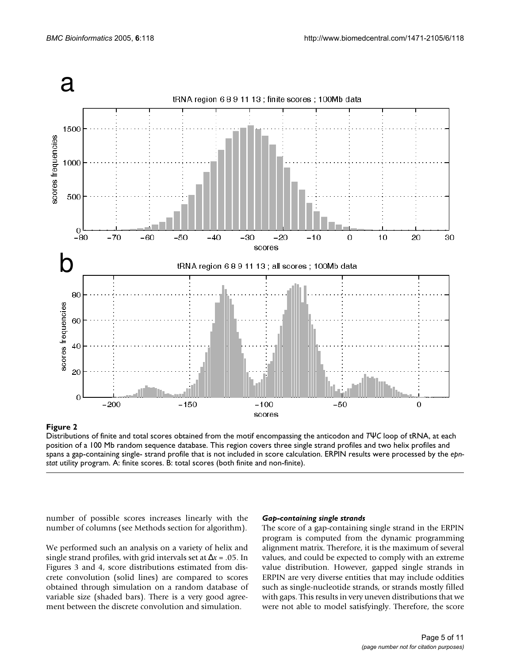<span id="page-5-0"></span>

#### Distributions of finite and tota position of a 100 Mb random sequence database **Figure 2** l scores obtained from the motif encompassing the anticodon and *T*Ψ*C* loop of tRNA, at each

Distributions of finite and total scores obtained from the motif encompassing the anticodon and *T*Ψ*C* loop of tRNA, at each position of a 100 Mb random sequence database. This region covers three single strand profiles and two helix profiles and spans a gap-containing single- strand profile that is not included in score calculation. ERPIN results were processed by the *epnstat* utility program. A: finite scores. B: total scores (both finite and non-finite).

number of possible scores increases linearly with the number of columns (see Methods section for algorithm).

We performed such an analysis on a variety of helix and single strand profiles, with grid intervals set at ∆*x* = .05. In Figures [3](#page-6-0) and [4,](#page-7-0) score distributions estimated from discrete convolution (solid lines) are compared to scores obtained through simulation on a random database of variable size (shaded bars). There is a very good agreement between the discrete convolution and simulation.

#### *Gap-containing single strands*

The score of a gap-containing single strand in the ERPIN program is computed from the dynamic programming alignment matrix. Therefore, it is the maximum of several values, and could be expected to comply with an extreme value distribution. However, gapped single strands in ERPIN are very diverse entities that may include oddities such as single-nucleotide strands, or strands mostly filled with gaps. This results in very uneven distributions that we were not able to model satisfyingly. Therefore, the score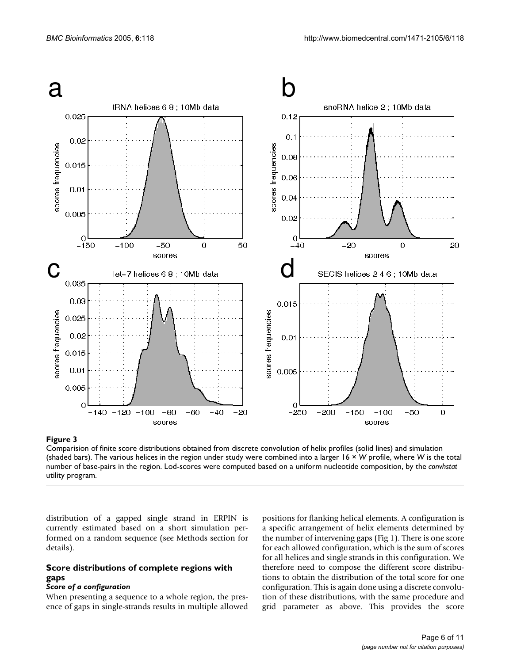<span id="page-6-0"></span>

#### Comparision of finite score dist **Figure 3** (shaded bars) ributions obtained from discrete convolution of helix profiles (solid lines) and simulation

Comparision of finite score distributions obtained from discrete convolution of helix profiles (solid lines) and simulation (shaded bars). The various helices in the region under study were combined into a larger 16 × *W* profile, where *W* is the total number of base-pairs in the region. Lod-scores were computed based on a uniform nucleotide composition, by the *convhstat*  utility program.

distribution of a gapped single strand in ERPIN is currently estimated based on a short simulation performed on a random sequence (see Methods section for details).

### **Score distributions of complete regions with gaps**

#### *Score of a configuration*

When presenting a sequence to a whole region, the presence of gaps in single-strands results in multiple allowed positions for flanking helical elements. A configuration is a specific arrangement of helix elements determined by the number of intervening gaps (Fig 1). There is one score for each allowed configuration, which is the sum of scores for all helices and single strands in this configuration. We therefore need to compose the different score distributions to obtain the distribution of the total score for one configuration. This is again done using a discrete convolution of these distributions, with the same procedure and grid parameter as above. This provides the score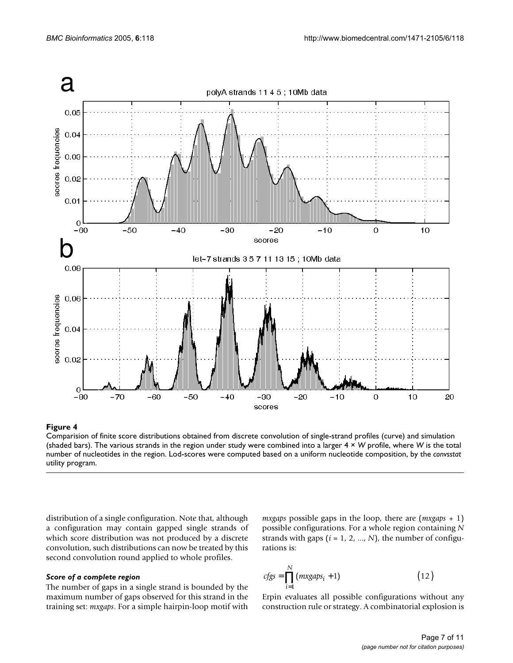<span id="page-7-0"></span>

#### Comparision of finite score dist **Figure 4** (shaded bars) ributions obtained from discrete convolution of single-strand profiles (curve) and simulation

Comparision of finite score distributions obtained from discrete convolution of single-strand profiles (curve) and simulation (shaded bars). The various strands in the region under study were combined into a larger 4 × *W* profile, where *W* is the total number of nucleotides in the region. Lod-scores were computed based on a uniform nucleotide composition, by the *convsstat*  utility program.

distribution of a single configuration. Note that, although a configuration may contain gapped single strands of which score distribution was not produced by a discrete convolution, such distributions can now be treated by this second convolution round applied to whole profiles.

#### *Score of a complete region*

The number of gaps in a single strand is bounded by the maximum number of gaps observed for this strand in the training set: *mxgaps*. For a simple hairpin-loop motif with *mxgaps* possible gaps in the loop, there are (*mxgaps* + 1) possible configurations. For a whole region containing *N* strands with gaps  $(i = 1, 2, ..., N)$ , the number of configurations is:

$$
cfgs = \prod_{i=1}^{N} (mxgaps_i + 1)
$$
 (12)

Erpin evaluates all possible configurations without any construction rule or strategy. A combinatorial explosion is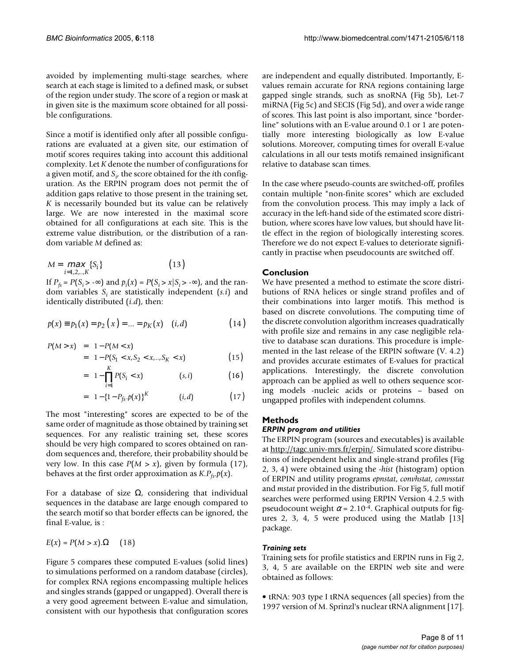avoided by implementing multi-stage searches, where search at each stage is limited to a defined mask, or subset of the region under study. The score of a region or mask at in given site is the maximum score obtained for all possible configurations.

Since a motif is identified only after all possible configurations are evaluated at a given site, our estimation of motif scores requires taking into account this additional complexity. Let *K* denote the number of configurations for a given motif, and  $S_i$ , the score obtained for the *i*th configuration. As the ERPIN program does not permit the of addition gaps relative to those present in the training set, *K* is necessarily bounded but its value can be relatively large. We are now interested in the maximal score obtained for all configurations at each site. This is the extreme value distribution, or the distribution of a random variable *M* defined as:

$$
M = \max_{i=1,2,\ldots,K} \{S_i\} \tag{13}
$$

If  $P_{fs} = P(S_i > -\infty)$  and  $p_i(x) = P(S_i > x | S_i > -\infty)$ , and the random variables *Si* are statistically independent (*s.i*) and identically distributed (*i.d*), then:

$$
p(x) \equiv p_1(x) = p_2(x) = ... = p_K(x) \quad (i, d)
$$
 (14)

$$
P(M > x) = 1 - P(M < x)
$$
  
= 1 - P(S<sub>1</sub> < x, S<sub>2</sub> < x, ..., S<sub>K</sub> < x) (15)

$$
= 1 - \prod_{i=1}^{K} P(S_i < x) \tag{16}
$$

$$
= 1 - \{1 - P_{fs}.p(x)\}^{K} \qquad (i,d) \qquad (17)
$$

The most "interesting" scores are expected to be of the same order of magnitude as those obtained by training set sequences. For any realistic training set, these scores should be very high compared to scores obtained on random sequences and, therefore, their probability should be very low. In this case  $P(M > x)$ , given by formula (17), behaves at the first order approximation as  $K.P<sub>fs</sub>·p(x)$ .

For a database of size  $\Omega$ , considering that individual sequences in the database are large enough compared to the search motif so that border effects can be ignored, the final E-value, is :

$$
E(x) = P(M > x).\Omega \qquad (18)
$$

Figure [5](#page-9-0) compares these computed E-values (solid lines) to simulations performed on a random database (circles), for complex RNA regions encompassing multiple helices and singles strands (gapped or ungapped). Overall there is a very good agreement between E-value and simulation, consistent with our hypothesis that configuration scores

are independent and equally distributed. Importantly, Evalues remain accurate for RNA regions containing large gapped single strands, such as snoRNA (Fig [5](#page-9-0)b), Let-7 miRNA (Fig [5](#page-9-0)c) and SECIS (Fig [5](#page-9-0)d), and over a wide range of scores. This last point is also important, since "borderline" solutions with an E-value around 0.1 or 1 are potentially more interesting biologically as low E-value solutions. Moreover, computing times for overall E-value calculations in all our tests motifs remained insignificant relative to database scan times.

In the case where pseudo-counts are switched-off, profiles contain multiple "non-finite scores" which are excluded from the convolution process. This may imply a lack of accuracy in the left-hand side of the estimated score distribution, where scores have low values, but should have little effect in the region of biologically interesting scores. Therefore we do not expect E-values to deteriorate significantly in practise when pseudocounts are switched off.

#### **Conclusion**

We have presented a method to estimate the score distributions of RNA helices or single strand profiles and of their combinations into larger motifs. This method is based on discrete convolutions. The computing time of the discrete convolution algorithm increases quadratically with profile size and remains in any case negligible relative to database scan durations. This procedure is implemented in the last release of the ERPIN software (V. 4.2) and provides accurate estimates of E-values for practical applications. Interestingly, the discrete convolution approach can be applied as well to others sequence scoring models -nucleic acids or proteins – based on ungapped profiles with independent columns.

#### **Methods**

#### *ERPIN program and utilities*

The ERPIN program (sources and executables) is available at<http://tagc.univ-mrs.fr/erpin/>. Simulated score distributions of independent helix and single-strand profiles (Fig [2](#page-5-0), [3](#page-6-0), [4](#page-7-0)) were obtained using the -*hist* (histogram) option of ERPIN and utility programs *epnstat*, *convhstat*, *convsstat* and *mstat* provided in the distribution. For Fig [5](#page-9-0), full motif searches were performed using ERPIN Version 4.2.5 with pseudocount weight  $\alpha$  = 2.10<sup>-4</sup>. Graphical outputs for figures [2,](#page-5-0) [3](#page-6-0), [4](#page-7-0), [5](#page-9-0) were produced using the Matlab [13] package.

#### *Training sets*

Training sets for profile statistics and ERPIN runs in Fig [2,](#page-5-0) [3](#page-6-0), [4,](#page-7-0) [5](#page-9-0) are available on the ERPIN web site and were obtained as follows:

• tRNA: 903 type I tRNA sequences (all species) from the 1997 version of M. Sprinzl's nuclear tRNA alignment [17].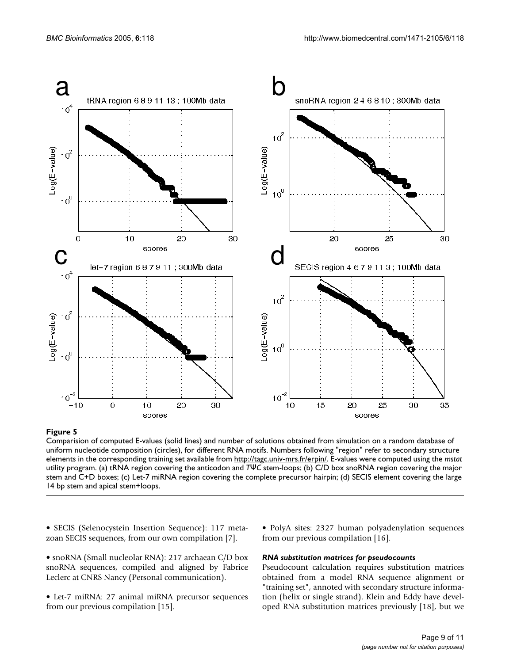<span id="page-9-0"></span>

#### Comparision of computed E-values uniform nucleotide composition (circles), for different RNA motifs **Figure 5** (solid lines) and number of solutions obtained from simulation on a random database of

Comparision of computed E-values (solid lines) and number of solutions obtained from simulation on a random database of uniform nucleotide composition (circles), for different RNA motifs. Numbers following "region" refer to secondary structure elements in the corresponding training set available from [http://tagc.univ-mrs.fr/erpin/.](http://tagc.univ-mrs.fr/erpin/) E-values were computed using the *mstat*  utility program. (a) tRNA region covering the anticodon and *T*Ψ*C* stem-loops; (b) C/D box snoRNA region covering the major stem and C+D boxes; (c) Let-7 miRNA region covering the complete precursor hairpin; (d) SECIS element covering the large 14 bp stem and apical stem+loops.

- SECIS (Selenocystein Insertion Sequence): 117 metazoan SECIS sequences, from our own compilation [7].
- snoRNA (Small nucleolar RNA): 217 archaean C/D box snoRNA sequences, compiled and aligned by Fabrice Leclerc at CNRS Nancy (Personal communication).
- Let-7 miRNA: 27 animal miRNA precursor sequences from our previous compilation [15].

• PolyA sites: 2327 human polyadenylation sequences from our previous compilation [16].

#### *RNA substitution matrices for pseudocounts*

Pseudocount calculation requires substitution matrices obtained from a model RNA sequence alignment or "training set", annoted with secondary structure information (helix or single strand). Klein and Eddy have developed RNA substitution matrices previously [18], but we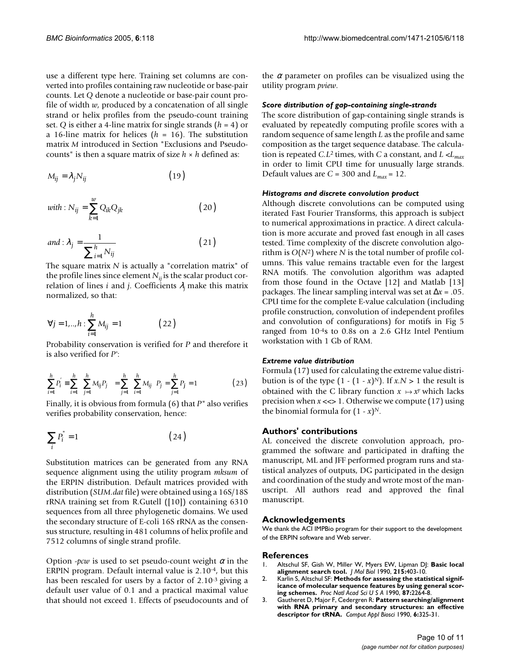use a different type here. Training set columns are converted into profiles containing raw nucleotide or base-pair counts. Let *Q* denote a nucleotide or base-pair count profile of width *w*, produced by a concatenation of all single strand or helix profiles from the pseudo-count training set. *Q* is either a 4-line matrix for single strands (*h* = 4) or a 16-line matrix for helices (*h* = 16). The substitution matrix *M* introduced in Section "Exclusions and Pseudocounts" is then a square matrix of size *h* × *h* defined as:

$$
M_{ij} = \lambda_j N_{ij} \tag{19}
$$

$$
with: N_{ij} = \sum_{k=1}^{w} Q_{ik} Q_{jk}
$$
 (20)

$$
and: \lambda_j = \frac{1}{\sum_{i=1}^h N_{ij}} \tag{21}
$$

The square matrix *N* is actually a "correlation matrix" of the profile lines since element  $N_{ii}$  is the scalar product correlation of lines *i* and *j*. Coefficients  $\lambda_i$  make this matrix normalized, so that:

$$
\forall j = 1,..,h: \sum_{i=1}^{h} M_{ij} = 1
$$
 (22)

Probability conservation is verified for *P* and therefore it is also verified for *P'*:

$$
\sum_{i=1}^{h} P'_i \equiv \sum_{i=1}^{h} \left( \sum_{j=1}^{h} M_{ij} P_j \right) = \sum_{j=1}^{h} \left( \sum_{i=1}^{h} M_{ij} \right) P_j = \sum_{j=1}^{h} P_j = 1
$$
\n(23)

Finally, it is obvious from formula (6) that *P"* also verifies verifies probability conservation, hence:

$$
\sum_{i} P_i^{\dagger} = 1 \tag{24}
$$

Substitution matrices can be generated from any RNA sequence alignment using the utility program *mksum* of the ERPIN distribution. Default matrices provided with distribution (*SUM.dat* file) were obtained using a 16S/18S rRNA training set from R.Gutell ([10]) containing 6310 sequences from all three phylogenetic domains. We used the secondary structure of E-coli 16S rRNA as the consensus structure, resulting in 481 columns of helix profile and 7512 columns of single strand profile.

Option  $-pcw$  is used to set pseudo-count weight  $\alpha$  in the ERPIN program. Default internal value is 2.10-4, but this has been rescaled for users by a factor of 2.10-3 giving a default user value of 0.1 and a practical maximal value that should not exceed 1. Effects of pseudocounts and of the  $\alpha$  parameter on profiles can be visualized using the utility program *pview*.

#### *Score distribution of gap-containing single-strands*

The score distribution of gap-containing single strands is evaluated by repeatedly computing profile scores with a random sequence of same length *L* as the profile and same composition as the target sequence database. The calculation is repeated *C.L*<sup>2</sup> times, with *C* a constant, and  $L \ll L_{max}$ in order to limit CPU time for unusually large strands. Default values are *C* = 300 and *Lmax* = 12.

#### *Histograms and discrete convolution product*

Although discrete convolutions can be computed using iterated Fast Fourier Transforms, this approach is subject to numerical approximations in practice. A direct calculation is more accurate and proved fast enough in all cases tested. Time complexity of the discrete convolution algorithm is *O*(*N*2) where *N* is the total number of profile columns. This value remains tractable even for the largest RNA motifs. The convolution algorithm was adapted from those found in the Octave [12] and Matlab [13] packages. The linear sampling interval was set at ∆*x* = .05. CPU time for the complete E-value calculation (including profile construction, convolution of independent profiles and convolution of configurations) for motifs in Fig [5](#page-9-0) ranged from 10-4s to 0.8s on a 2.6 GHz Intel Pentium workstation with 1 Gb of RAM.

#### *Extreme value distribution*

Formula (17) used for calculating the extreme value distribution is of the type  $(1 - (1 - x)^{N})$ . If  $x \to N > 1$  the result is obtained with the C library function  $x \mapsto x^y$  which lacks precision when *x* <<> 1. Otherwise we compute (17) using the binomial formula for  $(1 - x)^N$ .

#### **Authors' contributions**

AL conceived the discrete convolution approach, programmed the software and participated in drafting the manuscript, ML and JFF performed program runs and statistical analyzes of outputs, DG participated in the design and coordination of the study and wrote most of the manuscript. All authors read and approved the final manuscript.

#### **Acknowledgements**

We thank the ACI IMPBio program for their support to the development of the ERPIN software and Web server.

#### **References**

- 1. Altschul SF, Gish W, Miller W, Myers EW, Lipman DJ: **[Basic local](http://www.ncbi.nlm.nih.gov/entrez/query.fcgi?cmd=Retrieve&db=PubMed&dopt=Abstract&list_uids=2231712) [alignment search tool.](http://www.ncbi.nlm.nih.gov/entrez/query.fcgi?cmd=Retrieve&db=PubMed&dopt=Abstract&list_uids=2231712)** *J Mol Biol* 1990, **215:**403-10.
- 2. Karlin S, Altschul SF: **[Methods for assessing the statistical signif](http://www.ncbi.nlm.nih.gov/entrez/query.fcgi?cmd=Retrieve&db=PubMed&dopt=Abstract&list_uids=2315319)[icance of molecular sequence features by using general scor](http://www.ncbi.nlm.nih.gov/entrez/query.fcgi?cmd=Retrieve&db=PubMed&dopt=Abstract&list_uids=2315319)[ing schemes.](http://www.ncbi.nlm.nih.gov/entrez/query.fcgi?cmd=Retrieve&db=PubMed&dopt=Abstract&list_uids=2315319)** *Proc Natl Acad Sci U S A* 1990, **87:**2264-8.
- 3. Gautheret D, Major F, Cedergren R: **[Pattern searching/alignment](http://www.ncbi.nlm.nih.gov/entrez/query.fcgi?cmd=Retrieve&db=PubMed&dopt=Abstract&list_uids=1701686) [with RNA primary and secondary structures: an effective](http://www.ncbi.nlm.nih.gov/entrez/query.fcgi?cmd=Retrieve&db=PubMed&dopt=Abstract&list_uids=1701686) [descriptor for tRNA.](http://www.ncbi.nlm.nih.gov/entrez/query.fcgi?cmd=Retrieve&db=PubMed&dopt=Abstract&list_uids=1701686)** *Comput Appl Biosci* 1990, **6:**325-31.